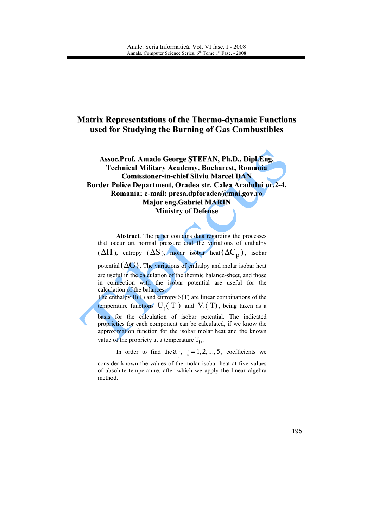## **Matrix Representations of the Thermo-dynamic Functions** used for Studying the Burning of Gas Combustibles

Assoc.Prof. Amado George ŞTEFAN, Ph.D., Dipl.Eng. **Technical Military Academy, Bucharest, Romania Comissioner-in-chief Silviu Marcel DAN** Border Police Department, Oradea str. Calea Aradului nr.2-4, Romania; e-mail: presa.dpforadea@mai.gov.ro **Major eng. Gabriel MARIN Ministry of Defense** 

Abstract. The paper contains data regarding the processes that occur art normal pressure and the variations of enthalpy  $(\Delta H)$ , entropy  $(\Delta S)$ , molar isobar heat $(\Delta C_p)$ , isobar

potential  $(\Delta G)$ . The variations of enthalpy and molar isobar heat are useful in the calculation of the thermic balance-sheet, and those in connection with the isobar potential are useful for the calculation of the balances.

The enthalpy  $H(T)$  and entropy  $S(T)$  are linear combinations of the temperature functions  $U_i(T)$  and  $V_i(T)$ , being taken as a basis for the calculation of isobar potential. The indicated proprieties for each component can be calculated, if we know the

approximation function for the isobar molar heat and the known value of the propriety at a temperature  $T_0$ .

In order to find the  $a_j$ ,  $j = 1, 2, ..., 5$ , coefficients we

consider known the values of the molar isobar heat at five values of absolute temperature, after which we apply the linear algebra method.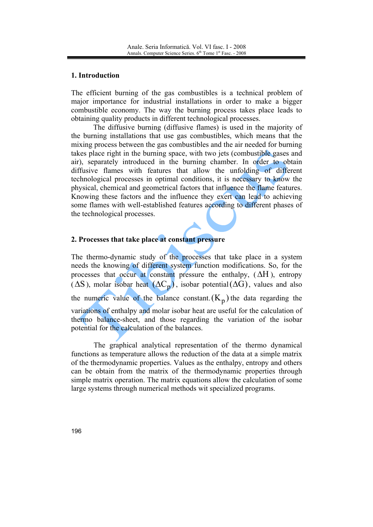### 1. Introduction

The efficient burning of the gas combustibles is a technical problem of major importance for industrial installations in order to make a bigger combustible economy. The way the burning process takes place leads to obtaining quality products in different technological processes.

The diffusive burning (diffusive flames) is used in the majority of the burning installations that use gas combustibles, which means that the mixing process between the gas combustibles and the air needed for burning takes place right in the burning space, with two jets (combustible gases and air), separately introduced in the burning chamber. In order to obtain diffusive flames with features that allow the unfolding of different technological processes in optimal conditions, it is necessary to know the physical, chemical and geometrical factors that influence the flame features. Knowing these factors and the influence they exert can lead to achieving some flames with well-established features according to different phases of the technological processes.

## 2. Processes that take place at constant pressure

The thermo-dynamic study of the processes that take place in a system needs the knowing of different system function modifications. So, for the processes that occur at constant pressure the enthalpy,  $(\Delta H)$ , entropy  $(\Delta S)$ , molar isobar heat  $(\Delta C_n)$ , isobar potential  $(\Delta G)$ , values and also the numeric value of the balance constant  $(K_p)$  the data regarding the variations of enthalpy and molar isobar heat are useful for the calculation of thermo balance-sheet, and those regarding the variation of the isobar potential for the calculation of the balances.

The graphical analytical representation of the thermo dynamical functions as temperature allows the reduction of the data at a simple matrix of the thermodynamic properties. Values as the enthalpy, entropy and others can be obtain from the matrix of the thermodynamic properties through simple matrix operation. The matrix equations allow the calculation of some large systems through numerical methods wit specialized programs.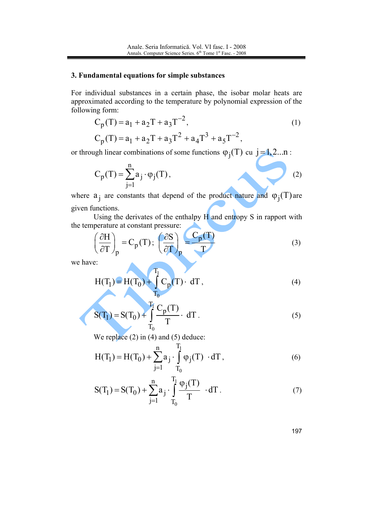#### 3. Fundamental equations for simple substances

For individual substances in a certain phase, the isobar molar heats are approximated according to the temperature by polynomial expression of the following form:

$$
C_p(T) = a_1 + a_2T + a_3T^{-2},
$$
  
\n
$$
C_p(T) = a_1 + a_2T + a_3T^2 + a_4T^3 + a_5T^{-2},
$$
\n(1)

or through linear combinations of some functions  $\varphi_j(T)$  cu  $j=1,2...n$ :

$$
C_p(T) = \sum_{j=1}^{n} a_j \cdot \varphi_j(T),
$$
 (2)

where  $a_i$  are constants that depend of the product nature and  $\varphi_j(T)$  are given functions.

Using the derivates of the enthalpy  $H$  and entropy S in rapport with the temperature at constant pressure:

$$
\left(\frac{\partial H}{\partial T}\right)_p = C_p(T); \left(\frac{\partial S}{\partial T}\right)_p = \frac{C_p(T)}{T}
$$
 (3)

we have:

d

$$
H(T_1) = H(T_0) + \int_{T_0}^{T_1} C_p(T) \cdot dT,
$$
\n(4)

$$
S(T_1) = S(T_0) + \int_{T_0}^{T_1} \frac{C_p(T)}{T} \cdot dT.
$$
 (5)

We replace  $(2)$  in  $(4)$  and  $(5)$  deduce:

$$
H(T_1) = H(T_0) + \sum_{j=1}^{n} a_j \cdot \int_{T_0}^{T_1} \varphi_j(T) \cdot dT,
$$
 (6)

$$
S(T_1) = S(T_0) + \sum_{j=1}^{n} a_j \cdot \int_{T_0}^{T_1} \frac{\varphi_j(T)}{T} \cdot dT.
$$
 (7)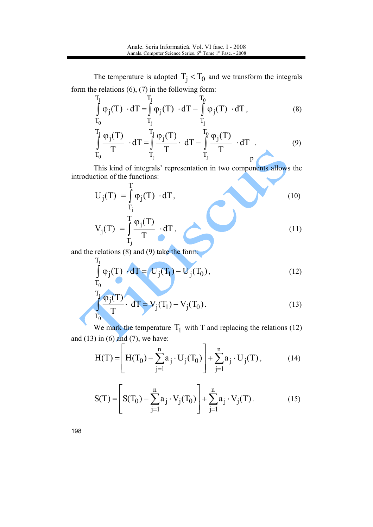The temperature is adopted  $T_i < T_0$  and we transform the integrals form the relations  $(6)$ ,  $(7)$  in the following form:

$$
\int_{T_0}^{T_1} \varphi_j(T) \cdot dT = \int_{T_j}^{T_1} \varphi_j(T) \cdot dT - \int_{T_j}^{T_0} \varphi_j(T) \cdot dT,
$$
\n(8)

$$
\int_{T_0}^{T_1} \frac{\varphi_j(T)}{T} \cdot dT = \int_{T_j}^{T_1} \frac{\varphi_j(T)}{T} \cdot dT - \int_{T_j}^{T_0} \frac{\varphi_j(T)}{T} \cdot dT
$$
 (9)

This kind of integrals' representation in two components allows the introduction of the functions:

$$
U_{j}(T) = \int_{T_{j}}^{1} \varphi_{j}(T) \cdot dT,
$$
\n
$$
V_{j}(T) = \int_{T_{j}}^{T} \frac{\varphi_{j}(T)}{T} \cdot dT,
$$
\n(10)

and the relations  $(8)$  and  $(9)$  take the form:

$$
\int_{T_0}^{T_1} \varphi_j(T) \cdot dT = U_j(T_1) - U_j(T_0),
$$
\n(12)

$$
\frac{1}{T_0}\frac{\varphi_j(T)}{T} \cdot dT = V_j(T_1) - V_j(T_0).
$$
 (13)

We mark the temperature  $T_1$  with T and replacing the relations (12) and  $(13)$  in  $(6)$  and  $(7)$ , we have:

$$
H(T) = \left[ H(T_0) - \sum_{j=1}^{n} a_j \cdot U_j(T_0) \right] + \sum_{j=1}^{n} a_j \cdot U_j(T), \quad (14)
$$

$$
S(T) = \left[ S(T_0) - \sum_{j=1}^{n} a_j \cdot V_j(T_0) \right] + \sum_{j=1}^{n} a_j \cdot V_j(T).
$$
 (15)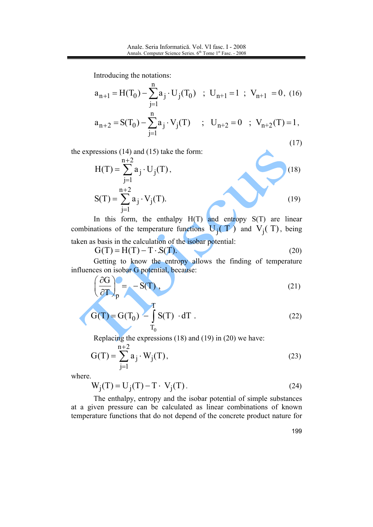Introducing the notations:

$$
a_{n+1} = H(T_0) - \sum_{j=1}^{n} a_j \cdot U_j(T_0) \quad ; \quad U_{n+1} = 1 \quad ; \quad V_{n+1} = 0, \quad (16)
$$

$$
a_{n+2} = S(T_0) - \sum_{j=1}^{n} a_j \cdot V_j(T) \quad ; \quad U_{n+2} = 0 \quad ; \quad V_{n+2}(T) = 1,
$$

the expressions  $(14)$  and  $(15)$  take the form:

$$
H(T) = \sum_{j=1}^{n+2} a_j \cdot U_j(T),
$$
\n
$$
S(T) = \sum_{i=1}^{n+2} a_j \cdot V_j(T).
$$
\n(18)

In this form, the enthalpy  $H(T)$  and entropy  $S(T)$  are linear combinations of the temperature functions  $U_i(T)$  and  $V_i(T)$ , being taken as basis in the calculation of the isobar potential:

$$
G(T) = H(T) - T \cdot S(T). \tag{20}
$$

Getting to know the entropy allows the finding of temperature influences on isobar G potential, because:  $(20)$ 

$$
\left(\frac{\partial G}{\partial T}\right)_p = -S(T),\tag{21}
$$

$$
G(T) = G(T_0) - \int_{T_0}^{T} S(T) \cdot dT
$$
 (22)

Replacing the expressions  $(18)$  and  $(19)$  in  $(20)$  we have:

$$
G(T) = \sum_{j=1}^{n+2} a_j \cdot W_j(T),
$$
 (23)

where.

$$
W_j(T) = U_j(T) - T \cdot V_j(T).
$$
 (24)

The enthalpy, entropy and the isobar potential of simple substances at a given pressure can be calculated as linear combinations of known temperature functions that do not depend of the concrete product nature for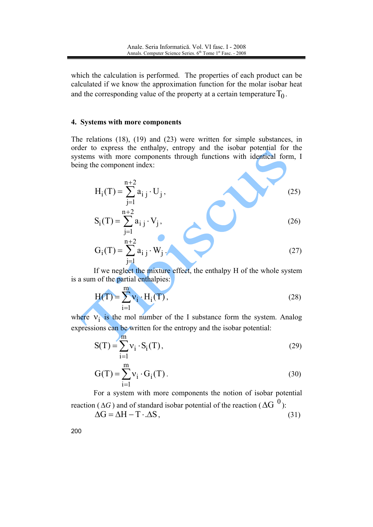which the calculation is performed. The properties of each product can be calculated if we know the approximation function for the molar isobar heat and the corresponding value of the property at a certain temperature  $T_0$ .

#### 4. Systems with more components

The relations  $(18)$ ,  $(19)$  and  $(23)$  were written for simple substances, in order to express the enthalpy, entropy and the isobar potential for the systems with more components through functions with identical form, I being the component index:

$$
H_{i}(T) = \sum_{j=1}^{n+2} a_{i j} \cdot U_{j},
$$
\n
$$
S_{i}(T) = \sum_{j=1}^{n+2} a_{i j} \cdot V_{j},
$$
\n
$$
G_{i}(T) = \sum_{j=1}^{n+2} a_{i j} \cdot W_{j},
$$
\n(26)

If we neglect the mixture effect, the enthalpy H of the whole system is a sum of the partial enthalpies:

$$
H(T) = \sum_{i=1}^{m} v_i \cdot H_i(T),
$$
\n(28)

where  $v_i$  is the mol number of the I substance form the system. Analog expressions can be written for the entropy and the isobar potential:

$$
S(T) = \sum_{i=1}^{m} v_i \cdot S_i(T),
$$
 (29)

$$
G(T) = \sum_{i=1}^{m} v_i \cdot G_i(T). \tag{30}
$$

For a system with more components the notion of isobar potential reaction ( $\Delta G$ ) and of standard isobar potential of the reaction ( $\Delta G$ <sup>0</sup>):

$$
\Delta G = \Delta H - T \cdot \Delta S, \tag{31}
$$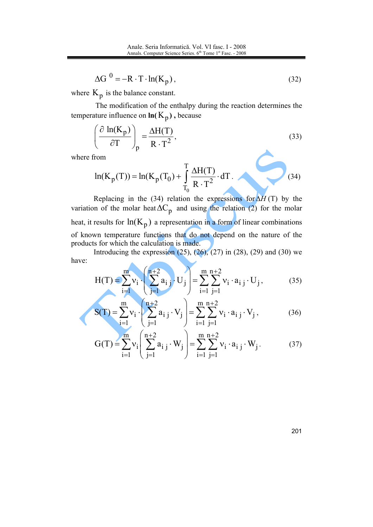$$
\Delta G^{0} = -R \cdot T \cdot \ln(K_{p}), \qquad (32)
$$

where  $K_p$  is the balance constant.

The modification of the enthalpy during the reaction determines the temperature influence on  $ln(K_p)$ , because

$$
\left(\frac{\partial \ln(K_p)}{\partial T}\right)_p = \frac{\Delta H(T)}{R \cdot T^2},\tag{33}
$$

where from

$$
\ln(K_p(T)) = \ln(K_p(T_0) + \int_{T_0}^{T} \frac{\Delta H(T)}{R \cdot T^2} \cdot dT.
$$
 (34)

Replacing in the (34) relation the expressions for  $\Delta H$  (T) by the variation of the molar heat  $\Delta C_p$  and using the relation (2) for the molar heat, it results for  $ln(K_p)$  a representation in a form of linear combinations of known temperature functions that do not depend on the nature of the products for which the calculation is made.

Introducing the expression  $(25)$ ,  $(26)$ ,  $(27)$  in  $(28)$ ,  $(29)$  and  $(30)$  we have:

$$
H(T) = \sum_{i=1}^{m} v_i \cdot \left(\sum_{j=1}^{n+2} a_{i,j} \cdot U_j\right) = \sum_{i=1}^{m} \sum_{j=1}^{n+2} v_i \cdot a_{i,j} \cdot U_j,
$$
(35)

$$
S(T) = \sum_{j=1}^{m} v_j \cdot \left(\sum_{j=1}^{n+2} a_{i,j} \cdot V_j\right) = \sum_{i=1}^{m} \sum_{j=1}^{n+2} v_i \cdot a_{i,j} \cdot V_j,
$$
(36)

$$
G(T) = \sum_{i=1}^{m} v_i \left( \sum_{j=1}^{n+2} a_{i,j} \cdot W_j \right) = \sum_{i=1}^{m} \sum_{j=1}^{n+2} v_i \cdot a_{i,j} \cdot W_j.
$$
 (37)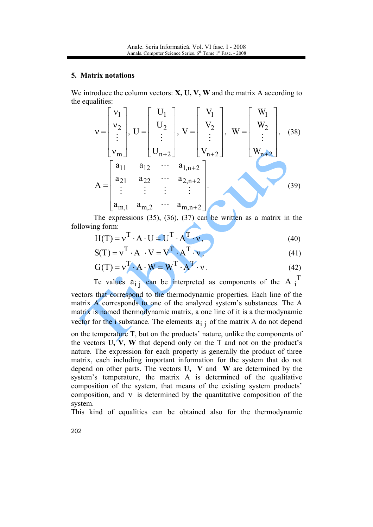#### 5. Matrix notations

We introduce the column vectors:  $X$ ,  $U$ ,  $V$ ,  $W$  and the matrix A according to the equalities:

$$
v = \begin{bmatrix} v_1 \\ v_2 \\ \vdots \\ v_m \end{bmatrix}, U = \begin{bmatrix} U_1 \\ U_2 \\ \vdots \\ U_{n+2} \end{bmatrix}, V = \begin{bmatrix} V_1 \\ V_2 \\ \vdots \\ V_{n+2} \end{bmatrix}, W = \begin{bmatrix} W_1 \\ W_2 \\ \vdots \\ W_{n+2} \end{bmatrix}, (38)
$$
  

$$
A = \begin{bmatrix} a_{11} & a_{12} & \cdots & a_{1,n+2} \\ a_{21} & a_{22} & \cdots & a_{2,n+2} \\ \vdots & \vdots & \vdots & \vdots \\ a_{m,1} & a_{m,2} & \cdots & a_{m,n+2} \end{bmatrix}
$$
 (39)

The expressions  $(35)$ ,  $(36)$ ,  $(37)$  can be written as a matrix in the following form:

$$
H(T) = v^{T} \cdot A \cdot U = U^{T} \cdot A^{T} \cdot v,
$$
\n(40)

$$
S(T) = v^{T} \cdot A \cdot V = V^{T} \cdot A^{T} \cdot v,
$$
\n(41)

$$
G(T) = v^T \cdot A \cdot W = W^T \cdot A^T \cdot v. \tag{42}
$$

Te values  $a_{i}$  can be interpreted as components of the A  $i$ <sup>T</sup>

vectors that correspond to the thermodynamic properties. Each line of the matrix A corresponds to one of the analyzed system's substances. The A matrix is named thermodynamic matrix, a one line of it is a thermodynamic vector for the *i* substance. The elements  $a_{i,i}$  of the matrix A do not depend

on the temperature T, but on the products' nature, unlike the components of the vectors  $U, V, W$  that depend only on the T and not on the product's nature. The expression for each property is generally the product of three matrix, each including important information for the system that do not depend on other parts. The vectors U, V and W are determined by the system's temperature, the matrix A is determined of the qualitative composition of the system, that means of the existing system products' composition, and  $\nu$  is determined by the quantitative composition of the system.

This kind of equalities can be obtained also for the thermodynamic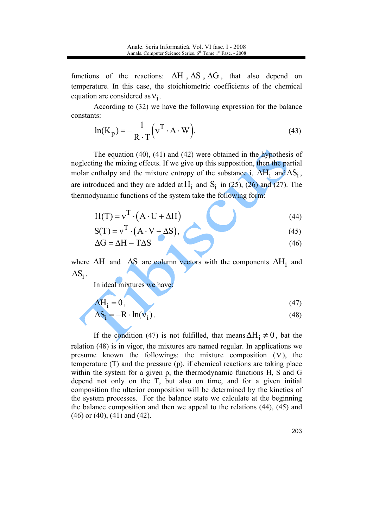functions of the reactions:  $\Delta H$ ,  $\Delta S$ ,  $\Delta G$ , that also depend on temperature. In this case, the stoichiometric coefficients of the chemical equation are considered as  $v_i$ .

According to (32) we have the following expression for the balance constants:

$$
\ln(K_p) = -\frac{1}{R \cdot T} \left( v^T \cdot A \cdot W \right).
$$
 (43)

The equation  $(40)$ ,  $(41)$  and  $(42)$  were obtained in the hypothesis of neglecting the mixing effects. If we give up this supposition, then the partial molar enthalpy and the mixture entropy of the substance i,  $\Delta H_i$  and  $\Delta S_i$ , are introduced and they are added at  $H_i$  and  $S_i$  in (25), (26) and (27). The thermodynamic functions of the system take the following form:

$$
H(T) = v^{T} \cdot (A \cdot U + \Delta H)
$$
\n(44)

$$
S(T) = v^{T} \cdot (A \cdot V + \Delta S), \qquad (45)
$$

$$
\Delta G = \Delta H - T \Delta S \tag{46}
$$

where  $\Delta H$  and  $\Delta S$  are column vectors with the components  $\Delta H_i$  and  $\Delta S_i$ .

In ideal mixtures we have:

$$
\Delta H_i = 0,\tag{47}
$$

$$
\Delta S_i = -R \cdot \ln(v_i) \tag{48}
$$

If the condition (47) is not fulfilled, that means  $\Delta H_i \neq 0$ , bat the relation (48) is in vigor, the mixtures are named regular. In applications we presume known the followings: the mixture composition  $(v)$ , the temperature  $(T)$  and the pressure  $(p)$ , if chemical reactions are taking place within the system for a given p, the thermodynamic functions H, S and G depend not only on the T, but also on time, and for a given initial composition the ulterior composition will be determined by the kinetics of the system processes. For the balance state we calculate at the beginning the balance composition and then we appeal to the relations (44), (45) and  $(46)$  or  $(40)$ ,  $(41)$  and  $(42)$ .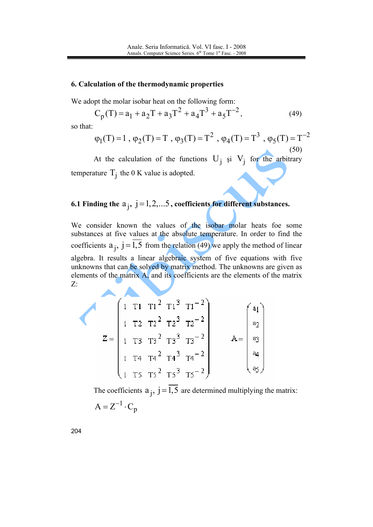#### 6. Calculation of the thermodynamic properties

We adopt the molar isobar heat on the following form:

$$
C_p(T) = a_1 + a_2T + a_3T^2 + a_4T^3 + a_5T^{-2},
$$
\n(49)

so that:

$$
\varphi_1(T) = 1
$$
,  $\varphi_2(T) = T$ ,  $\varphi_3(T) = T^2$ ,  $\varphi_4(T) = T^3$ ,  $\varphi_5(T) = T^{-2}$  (50)

At the calculation of the functions  $U_i$  si  $V_i$  for the arbitrary temperature  $T_i$  the 0 K value is adopted.

# 6.1 Finding the  $a_j$ ,  $j = 1, 2, \ldots, 5$ , coefficients for different substances.

We consider known the values of the isobar molar heats foe some substances at five values at the absolute temperature. In order to find the coefficients  $a_i$ ,  $j = \overline{1,5}$  from the relation (49) we apply the method of linear algebra. It results a linear algebraic system of five equations with five unknowns that can be solved by matrix method. The unknowns are given as elements of the matrix A, and its coefficients are the elements of the matrix  $Z<sub>i</sub>$ 

$$
Z = \begin{pmatrix} 1 & T1 & T1^{2} & T1^{3} & T1^{-2} \\ 1 & T2 & T2^{2} & T2^{3} & T2^{-2} \\ 1 & T3 & T3^{2} & T3^{3} & T3^{-2} \\ 1 & T4 & T4^{2} & T4^{3} & T4^{-2} \\ 1 & T5 & T5^{2} & T5^{3} & T5^{-2} \end{pmatrix}
$$

The coefficients  $a_j$ ,  $j = \overline{1,5}$  are determined multiplying the matrix:  $A = Z^{-1} \cdot C_n$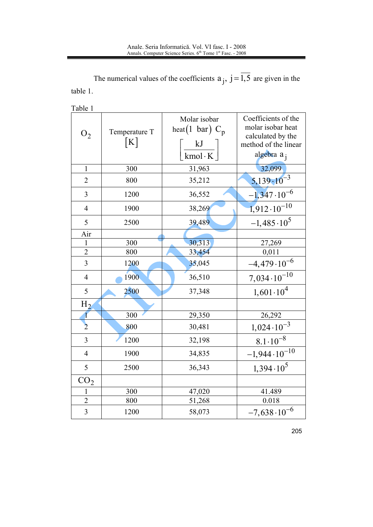The numerical values of the coefficients  $a_j$ ,  $j = \overline{1,5}$  are given in the table 1.

Table 1

| O <sub>2</sub>  | Temperature T<br>[K] | Molar isobar<br>heat(1 bar) $C_p$<br>kJ<br>kmol·K $ $ | Coefficients of the<br>molar isobar heat<br>calculated by the<br>method of the linear<br>algebra a <sub>j</sub> |
|-----------------|----------------------|-------------------------------------------------------|-----------------------------------------------------------------------------------------------------------------|
| $\mathbf{1}$    | 300                  | 31,963                                                | 32,099                                                                                                          |
| $\overline{2}$  | 800                  | 35,212                                                | $5,139 \cdot 10^{-3}$                                                                                           |
| 3               | 1200                 | 36,552                                                | $-1,347 \cdot 10^{-6}$                                                                                          |
| $\overline{4}$  | 1900                 | 38,269                                                | $1,912\cdot 10^{-10}$                                                                                           |
| 5               | 2500                 | 39,489                                                | $-1,485\cdot10^{5}$                                                                                             |
| Air             |                      |                                                       |                                                                                                                 |
| $\mathbf{1}$    | 300                  | 30,313                                                | $\frac{27,269}{0,011}$                                                                                          |
| $\overline{2}$  | 800                  | 33,454                                                |                                                                                                                 |
| $\overline{3}$  | 1200                 | 35,045                                                | $-4,479 \cdot 10^{-6}$                                                                                          |
| $\overline{4}$  | 1900                 | 36,510                                                | $7,034\cdot10^{-10}$                                                                                            |
| 5               | 2500                 | 37,348                                                | $1,601 \cdot 10^4$                                                                                              |
| $H_{2}$         |                      |                                                       |                                                                                                                 |
| $\mathbf{1}$    | 300                  | 29,350                                                | 26,292                                                                                                          |
| $\overline{2}$  | 800                  | 30,481                                                | $1,024\cdot10^{-3}$                                                                                             |
| 3               | 1200                 | 32,198                                                | $8.1 \cdot 10^{-8}$                                                                                             |
| $\overline{4}$  | 1900                 | 34,835                                                | $-1,944 \cdot 10^{-10}$                                                                                         |
| 5               | 2500                 | 36,343                                                | $1,394 \cdot 10^5$                                                                                              |
| CO <sub>2</sub> |                      |                                                       |                                                                                                                 |
| $\mathbf{1}$    | 300                  | 47,020                                                | 41.489                                                                                                          |
| $\overline{2}$  | 800                  | 51,268                                                | 0.018                                                                                                           |
| $\overline{3}$  | 1200                 | 58,073                                                | $-7,638\cdot10^{-6}$                                                                                            |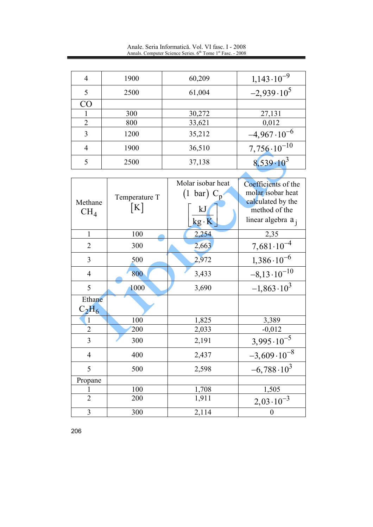Anale. Seria Informatică. Vol. VI fasc. I - 2008<br>Annals. Computer Science Series. 6<sup>th</sup> Tome 1<sup>st</sup> Fasc. - 2008

| 4               | 1900 | 60,209 | $1,143 \cdot 10^{-9}$  |
|-----------------|------|--------|------------------------|
| 5               | 2500 | 61,004 | $-2,939 \cdot 10^5$    |
| CO <sub>1</sub> |      |        |                        |
|                 | 300  | 30,272 | 27,131                 |
| $\mathcal{D}$   | 800  | 33,621 | 0,012                  |
| 3               | 1200 | 35,212 | $-4,967 \cdot 10^{-6}$ |
|                 | 1900 | 36,510 | $7,756 \cdot 10^{-10}$ |
| 5               | 2500 | 37,138 | $8,539.10^{3}$         |
|                 |      |        |                        |

| Methane<br>$CH_4$       | Temperature T<br>[K] | Molar isobar heat<br>$(1 \text{ bar}) C_p$<br>kJ<br>$kg \cdot K$ | Coefficients of the<br>molar isobar heat<br>calculated by the<br>method of the<br>linear algebra a <sub>i</sub> |
|-------------------------|----------------------|------------------------------------------------------------------|-----------------------------------------------------------------------------------------------------------------|
| $\mathbf{1}$            | 100                  | 2,254                                                            | 2,35                                                                                                            |
| $\overline{2}$          | 300                  | 2,663                                                            | $7,681 \cdot 10^{-4}$                                                                                           |
| 3                       | 500                  | 2,972                                                            | $1,386 \cdot 10^{-6}$                                                                                           |
| $\overline{4}$          | 800                  | 3,433                                                            | $-8,13\cdot10^{-10}$                                                                                            |
| 5                       | 1000                 | 3,690                                                            | $-1,863 \cdot 10^3$                                                                                             |
| Ethane<br>$C_2H_6$      |                      |                                                                  |                                                                                                                 |
| 1                       | 100                  | 1,825                                                            | 3,389                                                                                                           |
| $\overline{2}$          | 200                  | 2,033                                                            | $-0,012$                                                                                                        |
| 3                       | 300                  | 2,191                                                            | $3,995 \cdot 10^{-5}$                                                                                           |
| $\overline{4}$          | 400                  | 2,437                                                            | $-3,609 \cdot 10^{-8}$                                                                                          |
| 5                       | 500                  | 2,598                                                            | $-6,788 \cdot 10^3$                                                                                             |
| Propane                 |                      |                                                                  |                                                                                                                 |
|                         | 100                  | 1,708                                                            | 1,505                                                                                                           |
| $\overline{2}$          | 200                  | 1,911                                                            | $2,03\cdot10^{-3}$                                                                                              |
| $\overline{\mathbf{3}}$ | 300                  | 2,114                                                            | 0                                                                                                               |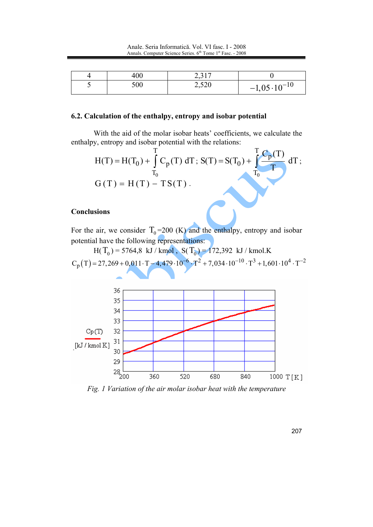|  | 400 |       |                      |
|--|-----|-------|----------------------|
|  | 500 | 2,520 | $-1,05\cdot10^{-10}$ |

#### 6.2. Calculation of the enthalpy, entropy and isobar potential

With the aid of the molar isobar heats' coefficients, we calculate the enthalpy, entropy and isobar potential with the relations:



## **Conclusions**

For the air, we consider  $T_0$ =200 (K) and the enthalpy, entropy and isobar potential have the following representations:



Fig. 1 Variation of the air molar isobar heat with the temperature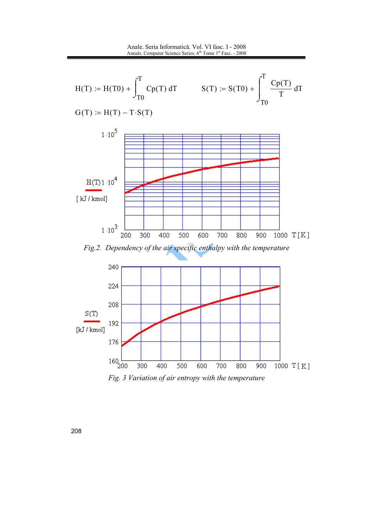Anale. Seria Informatică. Vol. VI fasc. I - 2008 Annals. Computer Science Series. 6<sup>th</sup> Tome 1<sup>st</sup> Fasc. - 2008





Fig. 3 Variation of air entropy with the temperature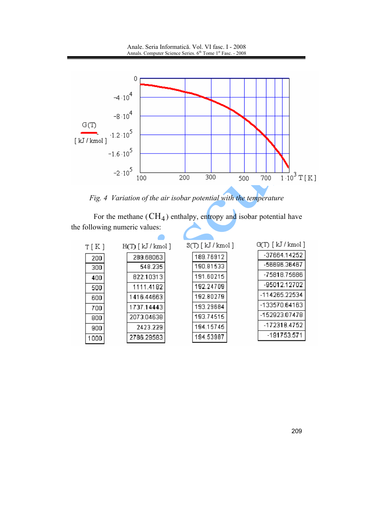Anale. Seria Informatică. Vol. VI fasc. I - 2008 Annals. Computer Science Series. 6<sup>th</sup> Tome 1<sup>st</sup> Fasc. - 2008



Fig. 4 Variation of the air isobar potential with the temperature

For the methane  $(CH_4)$  enthalpy, entropy and isobar potential have the following numeric values:

| T[K] | $H(T)$ [ $kJ$ / kmol ] | $S(T)$ [ kJ / kmol ] | G(T) [ kJ / kmol ] |
|------|------------------------|----------------------|--------------------|
| 200  | 289.68063              | 189.76912            | -37664.14252       |
| 300  | 548.235                | 190.81533            | -56696.36467       |
| 400  | 822.10313              | 191.60215            | -75818.75686       |
| 500  | 1111.4182              | 192.24709            | -95012.12702       |
| 600  | 1416.44663             | 192.80279            | -114265.22534      |
| 700  | 1737.14443             | 193.29684            | -133570.64163      |
| 800  | 2073.04638             | 193.74515            | -152923.07478      |
| 900  | 2423.229               | 194.15745            | -172318.4752       |
| 1000 | 2786.29583             | 194.53987            | -191753.571        |